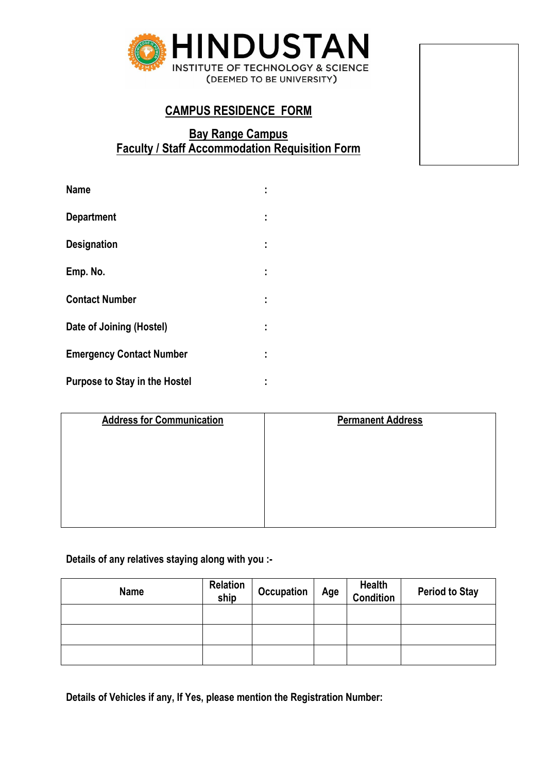

# **CAMPUS RESIDENCE FORM**

## **Bay Range Campus Faculty / Staff Accommodation Requisition Form**

| <b>Name</b>                          |  |
|--------------------------------------|--|
| <b>Department</b>                    |  |
| <b>Designation</b>                   |  |
| Emp. No.                             |  |
| <b>Contact Number</b>                |  |
| Date of Joining (Hostel)             |  |
| <b>Emergency Contact Number</b>      |  |
| <b>Purpose to Stay in the Hostel</b> |  |

| <b>Address for Communication</b> | <b>Permanent Address</b> |
|----------------------------------|--------------------------|
|                                  |                          |
|                                  |                          |
|                                  |                          |
|                                  |                          |
|                                  |                          |

## **Details of any relatives staying along with you :-**

| <b>Name</b> | Relation<br>ship | <b>Occupation</b> | Age | <b>Health</b><br><b>Condition</b> | <b>Period to Stay</b> |
|-------------|------------------|-------------------|-----|-----------------------------------|-----------------------|
|             |                  |                   |     |                                   |                       |
|             |                  |                   |     |                                   |                       |
|             |                  |                   |     |                                   |                       |

**Details of Vehicles if any, If Yes, please mention the Registration Number:**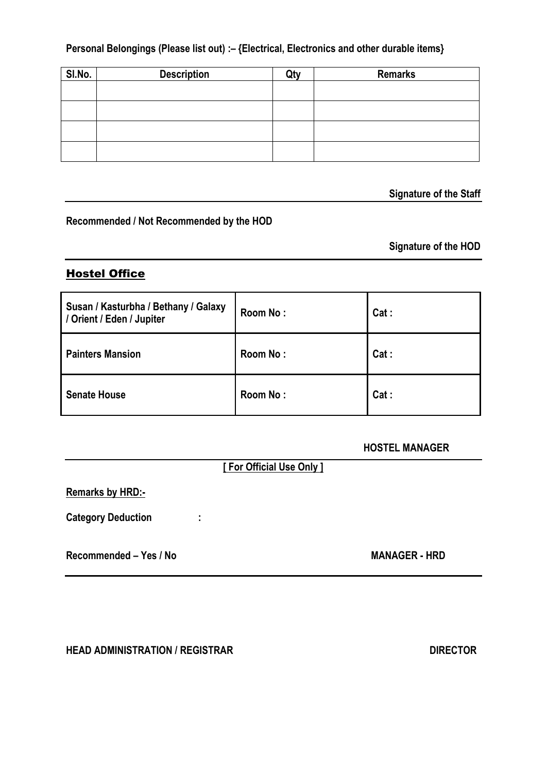**Personal Belongings (Please list out) :– {Electrical, Electronics and other durable items}**

| SI.No. | <b>Description</b> | <b>Remarks</b> |
|--------|--------------------|----------------|
|        |                    |                |
|        |                    |                |
|        |                    |                |
|        |                    |                |

 **Signature of the Staff**

#### **Recommended / Not Recommended by the HOD**

**Signature of the HOD**

### Hostel Office

| Susan / Kasturbha / Bethany / Galaxy<br>/ Orient / Eden / Jupiter | Room No: | Cat: |
|-------------------------------------------------------------------|----------|------|
| <b>Painters Mansion</b>                                           | Room No: | Cat: |
| <b>Senate House</b>                                               | Room No: | Cat: |

### **HOSTEL MANAGER**

**[ For Official Use Only ]**

**Remarks by HRD:-**

**Category Deduction :**

**Recommended – Yes / No MANAGER - HRD**

**HEAD ADMINISTRATION / REGISTRAR DIRECTOR**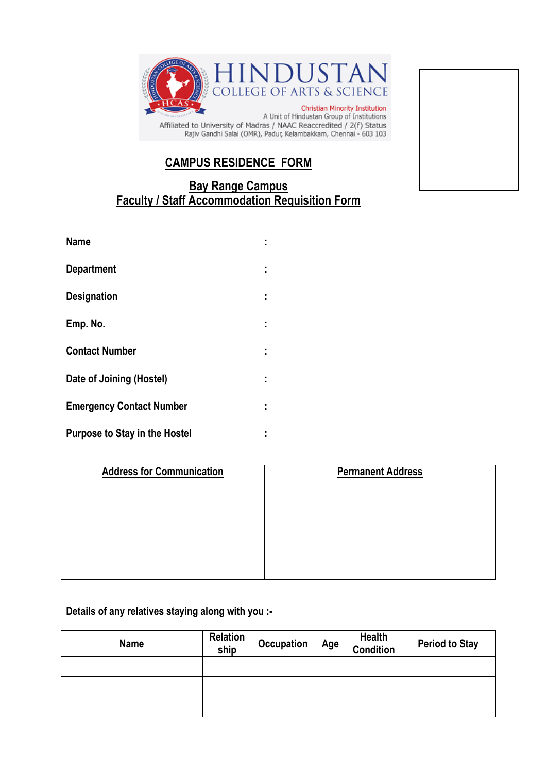

Rajiv Gandhi Salai (OMR), Padur, Kelambakkam, Chennai - 603 103

## **CAMPUS RESIDENCE FORM**

## **Bay Range Campus Faculty / Staff Accommodation Requisition Form**

| <b>Name</b>                     |    |
|---------------------------------|----|
| <b>Department</b>               | ÷  |
| <b>Designation</b>              | ÷. |
| Emp. No.                        |    |
| <b>Contact Number</b>           |    |
| Date of Joining (Hostel)        |    |
| <b>Emergency Contact Number</b> | ٠  |
| Purpose to Stay in the Hostel   |    |

| <b>Address for Communication</b> | <b>Permanent Address</b> |
|----------------------------------|--------------------------|
|                                  |                          |
|                                  |                          |
|                                  |                          |
|                                  |                          |
|                                  |                          |

### **Details of any relatives staying along with you :-**

| <b>Name</b> | Relation<br>ship | <b>Occupation</b> | Age | <b>Health</b><br>Condition | <b>Period to Stay</b> |
|-------------|------------------|-------------------|-----|----------------------------|-----------------------|
|             |                  |                   |     |                            |                       |
|             |                  |                   |     |                            |                       |
|             |                  |                   |     |                            |                       |